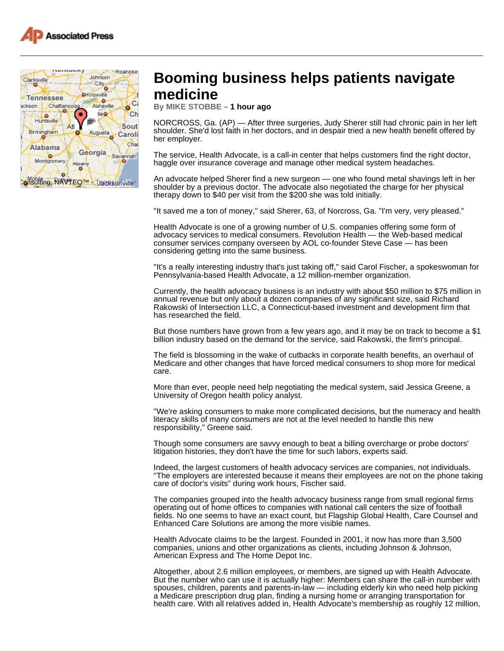



## **Booming business helps patients navigate medicine**

**By MIKE STOBBE – 1 hour ago** 

NORCROSS, Ga. (AP) — After three surgeries, Judy Sherer still had chronic pain in her left shoulder. She'd lost faith in her doctors, and in despair tried a new health benefit offered by her employer.

The service, Health Advocate, is a call-in center that helps customers find the right doctor, haggle over insurance coverage and manage other medical system headaches.

An advocate helped Sherer find a new surgeon — one who found metal shavings left in her shoulder by a previous doctor. The advocate also negotiated the charge for her physical therapy down to \$40 per visit from the \$200 she was told initially.

"It saved me a ton of money," said Sherer, 63, of Norcross, Ga. "I'm very, very pleased."

Health Advocate is one of a growing number of U.S. companies offering some form of advocacy services to medical consumers. Revolution Health — the Web-based medical consumer services company overseen by AOL co-founder Steve Case — has been considering getting into the same business.

"It's a really interesting industry that's just taking off," said Carol Fischer, a spokeswoman for Pennsylvania-based Health Advocate, a 12 million-member organization.

Currently, the health advocacy business is an industry with about \$50 million to \$75 million in annual revenue but only about a dozen companies of any significant size, said Richard Rakowski of Intersection LLC, a Connecticut-based investment and development firm that has researched the field.

But those numbers have grown from a few years ago, and it may be on track to become a \$1 billion industry based on the demand for the service, said Rakowski, the firm's principal.

The field is blossoming in the wake of cutbacks in corporate health benefits, an overhaul of Medicare and other changes that have forced medical consumers to shop more for medical care.

More than ever, people need help negotiating the medical system, said Jessica Greene, a University of Oregon health policy analyst.

"We're asking consumers to make more complicated decisions, but the numeracy and health literacy skills of many consumers are not at the level needed to handle this new responsibility," Greene said.

Though some consumers are savvy enough to beat a billing overcharge or probe doctors' litigation histories, they don't have the time for such labors, experts said.

Indeed, the largest customers of health advocacy services are companies, not individuals. "The employers are interested because it means their employees are not on the phone taking care of doctor's visits" during work hours, Fischer said.

The companies grouped into the health advocacy business range from small regional firms operating out of home offices to companies with national call centers the size of football fields. No one seems to have an exact count, but Flagship Global Health, Care Counsel and Enhanced Care Solutions are among the more visible names.

Health Advocate claims to be the largest. Founded in 2001, it now has more than 3,500 companies, unions and other organizations as clients, including Johnson & Johnson, American Express and The Home Depot Inc.

Altogether, about 2.6 million employees, or members, are signed up with Health Advocate. But the number who can use it is actually higher: Members can share the call-in number with spouses, children, parents and parents-in-law — including elderly kin who need help picking a Medicare prescription drug plan, finding a nursing home or arranging transportation for health care. With all relatives added in, Health Advocate's membership as roughly 12 million,